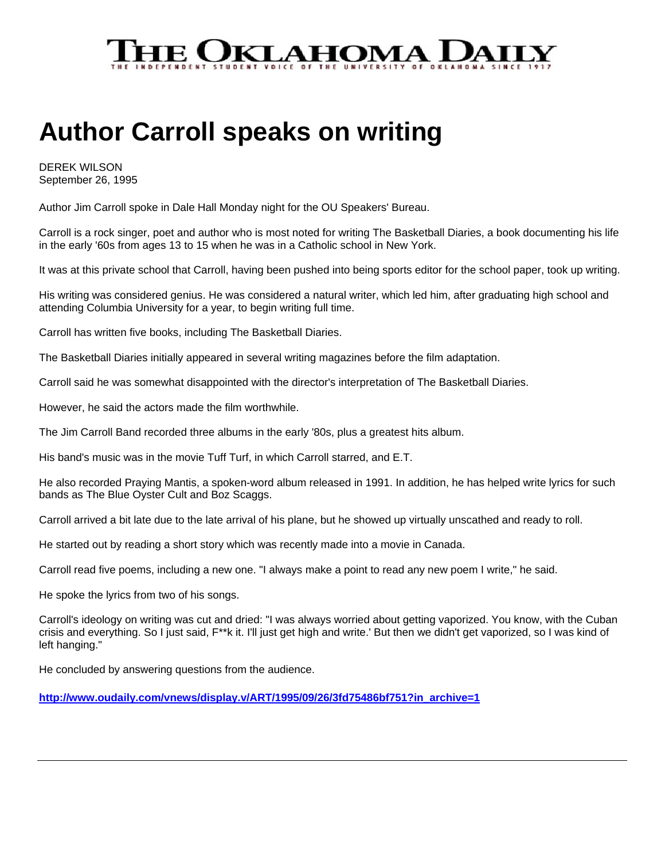

## **Author Carroll speaks on writing**

DEREK WILSON September 26, 1995

Author Jim Carroll spoke in Dale Hall Monday night for the OU Speakers' Bureau.

Carroll is a rock singer, poet and author who is most noted for writing The Basketball Diaries, a book documenting his life in the early '60s from ages 13 to 15 when he was in a Catholic school in New York.

It was at this private school that Carroll, having been pushed into being sports editor for the school paper, took up writing.

His writing was considered genius. He was considered a natural writer, which led him, after graduating high school and attending Columbia University for a year, to begin writing full time.

Carroll has written five books, including The Basketball Diaries.

The Basketball Diaries initially appeared in several writing magazines before the film adaptation.

Carroll said he was somewhat disappointed with the director's interpretation of The Basketball Diaries.

However, he said the actors made the film worthwhile.

The Jim Carroll Band recorded three albums in the early '80s, plus a greatest hits album.

His band's music was in the movie Tuff Turf, in which Carroll starred, and E.T.

He also recorded Praying Mantis, a spoken-word album released in 1991. In addition, he has helped write lyrics for such bands as The Blue Oyster Cult and Boz Scaggs.

Carroll arrived a bit late due to the late arrival of his plane, but he showed up virtually unscathed and ready to roll.

He started out by reading a short story which was recently made into a movie in Canada.

Carroll read five poems, including a new one. "I always make a point to read any new poem I write," he said.

He spoke the lyrics from two of his songs.

Carroll's ideology on writing was cut and dried: "I was always worried about getting vaporized. You know, with the Cuban crisis and everything. So I just said, F\*\*k it. I'll just get high and write.' But then we didn't get vaporized, so I was kind of left hanging."

He concluded by answering questions from the audience.

**http://www.oudaily.com/vnews/display.v/ART/1995/09/26/3fd75486bf751?in\_archive=1**